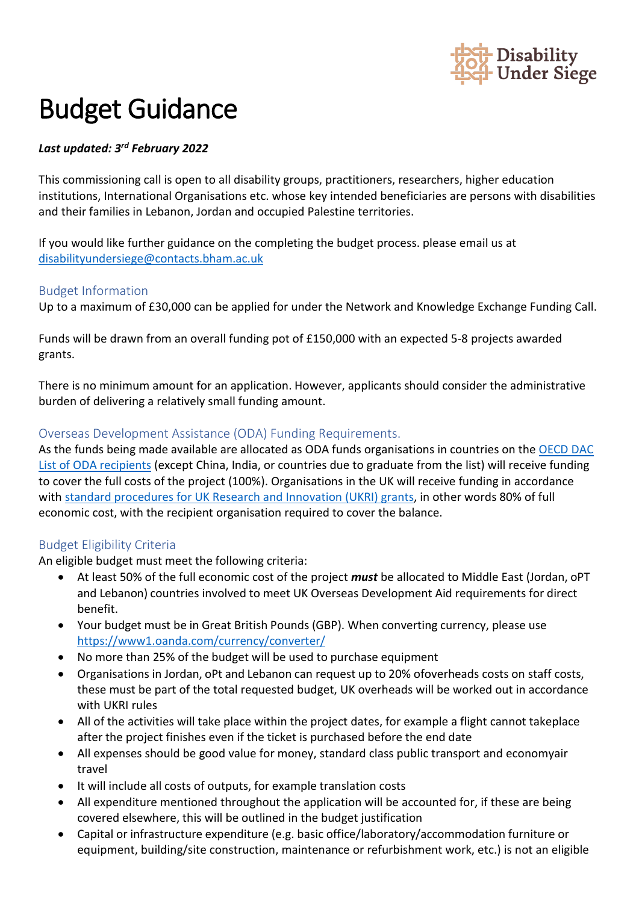

# Budget Guidance

### *Last updated: 3rd February 2022*

 This commissioning call is open to all disability groups, practitioners, researchers, higher education institutions, International Organisations etc. whose key intended beneficiaries are persons with disabilities and their families in Lebanon, Jordan and occupied Palestine territories.

 If you would like further guidance on the completing the budget process. please email us at [disabilityundersiege@contacts.bham.ac.uk](mailto:disabilityundersiege@contacts.bham.ac.uk) 

#### Budget Information

Up to a maximum of £30,000 can be applied for under the Network and Knowledge Exchange Funding Call.

 Funds will be drawn from an overall funding pot of £150,000 with an expected 5-8 projects awarded grants.

There is no minimum amount for an application. However, applicants should consider the administrative burden of delivering a relatively small funding amount.

## Overseas Development Assistance (ODA) Funding Requirements.

 to cover the full costs of the project (100%). Organisations in the UK will receive funding in accordance with [standard procedures for UK Research and Innovation \(UKRI\) grants,](https://www.ukri.org/wp-content/uploads/2020/10/UKRI-271020-GCRFODAGuidance.pdf) in other words 80% of full economic cost, with the recipient organisation required to cover the balance. As the funds being made available are allocated as ODA funds organisations in countries on the [OECD DAC](https://www.oecd.org/dac/financing-sustainable-development/development-finance-standards/daclist.htm)  [List of ODA recipients](https://www.oecd.org/dac/financing-sustainable-development/development-finance-standards/daclist.htm) (except China, India, or countries due to graduate from the list) will receive funding

## Budget Eligibility Criteria

An eligible budget must meet the following criteria:

- and Lebanon) countries involved to meet UK Overseas Development Aid requirements for direct • At least 50% of the full economic cost of the project *must* be allocated to Middle East (Jordan, oPT benefit.
- • Your budget must be in Great British Pounds (GBP). When converting currency, please use <https://www1.oanda.com/currency/converter/>
- No more than 25% of the budget will be used to purchase equipment
- • Organisations in Jordan, oPt and Lebanon can request up to 20% ofoverheads costs on staff costs, these must be part of the total requested budget, UK overheads will be worked out in accordance with UKRI rules
- • All of the activities will take place within the project dates, for example a flight cannot takeplace after the project finishes even if the ticket is purchased before the end date
- • All expenses should be good value for money, standard class public transport and economyair travel
- It will include all costs of outputs, for example translation costs
- • All expenditure mentioned throughout the application will be accounted for, if these are being covered elsewhere, this will be outlined in the budget justification
- • Capital or infrastructure expenditure (e.g. basic office/laboratory/accommodation furniture or equipment, building/site construction, maintenance or refurbishment work, etc.) is not an eligible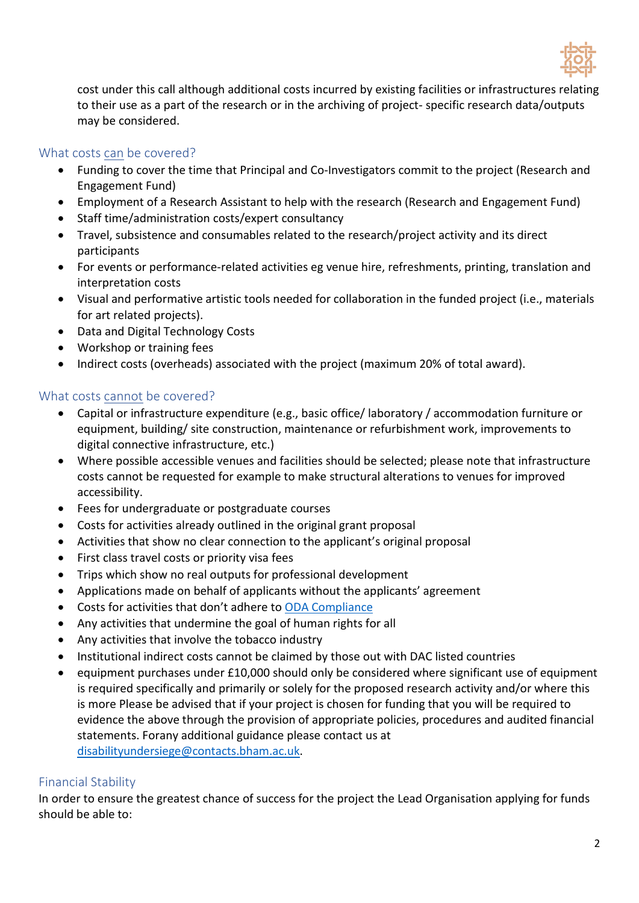

 cost under this call although additional costs incurred by existing facilities or infrastructures relating to their use as a part of the research or in the archiving of project- specific research data/outputs may be considered.

## What costs can be covered?

- • Funding to cover the time that Principal and Co-Investigators commit to the project (Research and Engagement Fund)
- Employment of a Research Assistant to help with the research (Research and Engagement Fund)
- Staff time/administration costs/expert consultancy
- • Travel, subsistence and consumables related to the research/project activity and its direct participants
- For events or performance-related activities eg venue hire, refreshments, printing, translation and interpretation costs
- • Visual and performative artistic tools needed for collaboration in the funded project (i.e., materials for art related projects).
- Data and Digital Technology Costs
- Workshop or training fees
- Indirect costs (overheads) associated with the project (maximum 20% of total award).

# What costs cannot be covered?

- Capital or infrastructure expenditure (e.g., basic office/ laboratory / accommodation furniture or equipment, building/ site construction, maintenance or refurbishment work, improvements to digital connective infrastructure, etc.)
- Where possible accessible venues and facilities should be selected; please note that infrastructure costs cannot be requested for example to make structural alterations to venues for improved accessibility.
- Fees for undergraduate or postgraduate courses
- Costs for activities already outlined in the original grant proposal
- Activities that show no clear connection to the applicant's original proposal
- First class travel costs or priority visa fees
- Trips which show no real outputs for professional development
- Applications made on behalf of applicants without the applicants' agreement
- Costs for activities that don't adhere to ODA Compliance
- Any activities that undermine the goal of human rights for all
- Any activities that involve the tobacco industry
- Institutional indirect costs cannot be claimed by those out with DAC listed countries
- is required specifically and primarily or solely for the proposed research activity and/or where this evidence the above through the provision of appropriate policies, procedures and audited financial statements. Forany additional guidance please contact us at • equipment purchases under £10,000 should only be considered where significant use of equipment is more Please be advised that if your project is chosen for funding that you will be required to [disabilityundersiege@contacts.bham.ac.uk.](mailto:disabilityundersiege@contacts.bham.ac.uk)

# Financial Stability

 In order to ensure the greatest chance of success for the project the Lead Organisation applying for funds should be able to: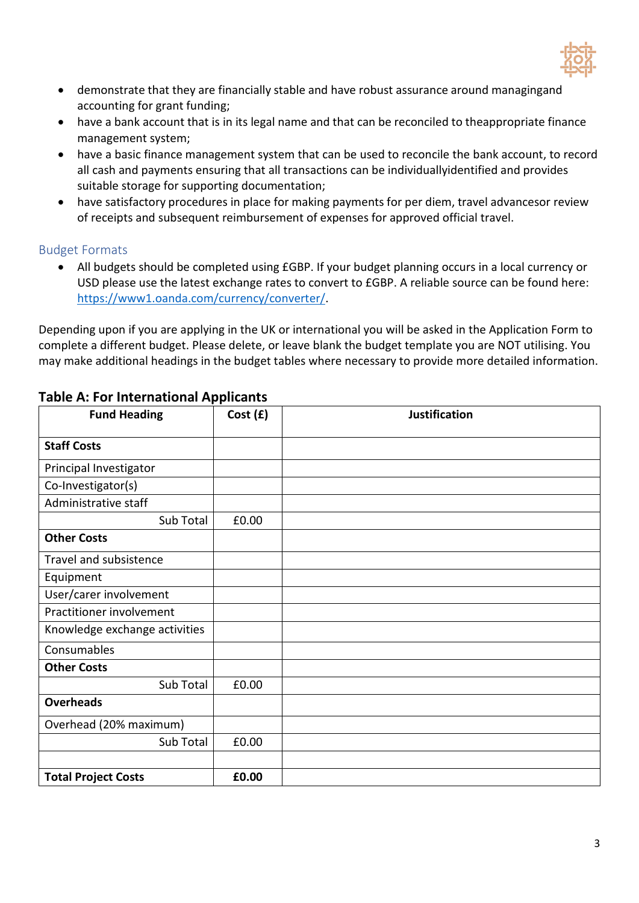

- • demonstrate that they are financially stable and have robust assurance around managingand accounting for grant funding;
- • have a bank account that is in its legal name and that can be reconciled to theappropriate finance management system;
- • have a basic finance management system that can be used to reconcile the bank account, to record all cash and payments ensuring that all transactions can be individuallyidentified and provides suitable storage for supporting documentation;
- • have satisfactory procedures in place for making payments for per diem, travel advancesor review of receipts and subsequent reimbursement of expenses for approved official travel.

#### Budget Formats

 USD please use the latest exchange rates to convert to £GBP. A reliable source can be found here: • All budgets should be completed using £GBP. If your budget planning occurs in a local currency or [https://www1.oanda.com/currency/converter/.](https://www1.oanda.com/currency/converter/)

 Depending upon if you are applying in the UK or international you will be asked in the Application Form to complete a different budget. Please delete, or leave blank the budget template you are NOT utilising. You may make additional headings in the budget tables where necessary to provide more detailed information.

| <b>Fund Heading</b>           | Cost(f) | <b>Justification</b> |
|-------------------------------|---------|----------------------|
| <b>Staff Costs</b>            |         |                      |
| Principal Investigator        |         |                      |
| Co-Investigator(s)            |         |                      |
| Administrative staff          |         |                      |
| Sub Total                     | £0.00   |                      |
| <b>Other Costs</b>            |         |                      |
| Travel and subsistence        |         |                      |
| Equipment                     |         |                      |
| User/carer involvement        |         |                      |
| Practitioner involvement      |         |                      |
| Knowledge exchange activities |         |                      |
| Consumables                   |         |                      |
| <b>Other Costs</b>            |         |                      |
| Sub Total                     | £0.00   |                      |
| <b>Overheads</b>              |         |                      |
| Overhead (20% maximum)        |         |                      |
| Sub Total                     | £0.00   |                      |
|                               |         |                      |
| <b>Total Project Costs</b>    | £0.00   |                      |

## **Table A: For International Applicants**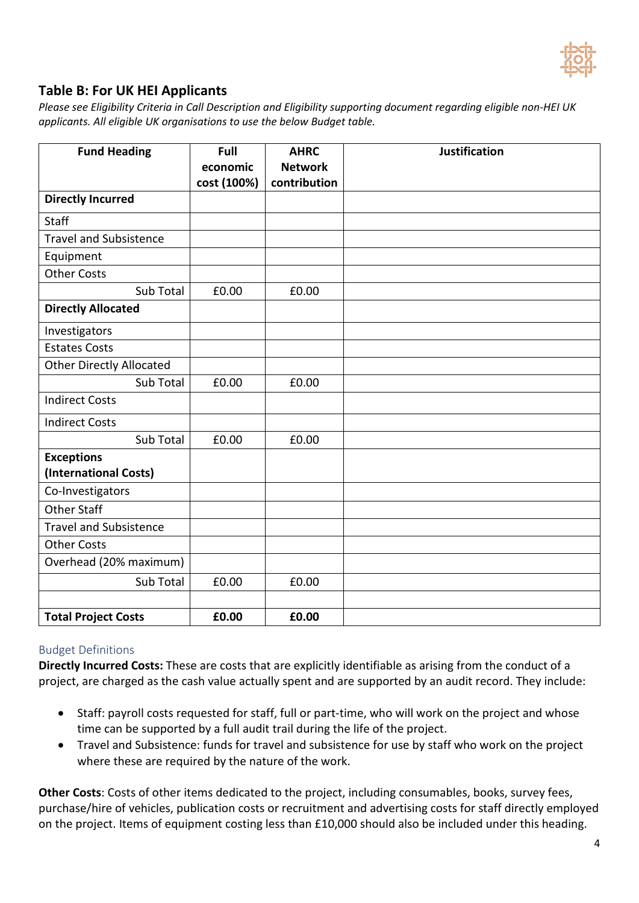

# **Table B: For UK HEI Applicants**

*Please see Eligibility Criteria in Call Description and Eligibility supporting document regarding eligible non-HEI UK applicants. All eligible UK organisations to use the below Budget table.* 

| <b>Fund Heading</b>             | Full<br>economic | <b>AHRC</b><br><b>Network</b> | <b>Justification</b> |
|---------------------------------|------------------|-------------------------------|----------------------|
|                                 | cost (100%)      | contribution                  |                      |
| <b>Directly Incurred</b>        |                  |                               |                      |
| <b>Staff</b>                    |                  |                               |                      |
| <b>Travel and Subsistence</b>   |                  |                               |                      |
| Equipment                       |                  |                               |                      |
| <b>Other Costs</b>              |                  |                               |                      |
| Sub Total                       | £0.00            | £0.00                         |                      |
| <b>Directly Allocated</b>       |                  |                               |                      |
| Investigators                   |                  |                               |                      |
| <b>Estates Costs</b>            |                  |                               |                      |
| <b>Other Directly Allocated</b> |                  |                               |                      |
| Sub Total                       | £0.00            | £0.00                         |                      |
| <b>Indirect Costs</b>           |                  |                               |                      |
| <b>Indirect Costs</b>           |                  |                               |                      |
| Sub Total                       | £0.00            | £0.00                         |                      |
| <b>Exceptions</b>               |                  |                               |                      |
| (International Costs)           |                  |                               |                      |
| Co-Investigators                |                  |                               |                      |
| <b>Other Staff</b>              |                  |                               |                      |
| <b>Travel and Subsistence</b>   |                  |                               |                      |
| <b>Other Costs</b>              |                  |                               |                      |
| Overhead (20% maximum)          |                  |                               |                      |
| Sub Total                       | £0.00            | £0.00                         |                      |
|                                 |                  |                               |                      |
| <b>Total Project Costs</b>      | £0.00            | £0.00                         |                      |

#### Budget Definitions

 **Directly Incurred Costs:** These are costs that are explicitly identifiable as arising from the conduct of a project, are charged as the cash value actually spent and are supported by an audit record. They include:

- • Staff: payroll costs requested for staff, full or part-time, who will work on the project and whose time can be supported by a full audit trail during the life of the project.
- where these are required by the nature of the work. • Travel and Subsistence: funds for travel and subsistence for use by staff who work on the project

 **Other Costs**: Costs of other items dedicated to the project, including consumables, books, survey fees, purchase/hire of vehicles, publication costs or recruitment and advertising costs for staff directly employed on the project. Items of equipment costing less than £10,000 should also be included under this heading.